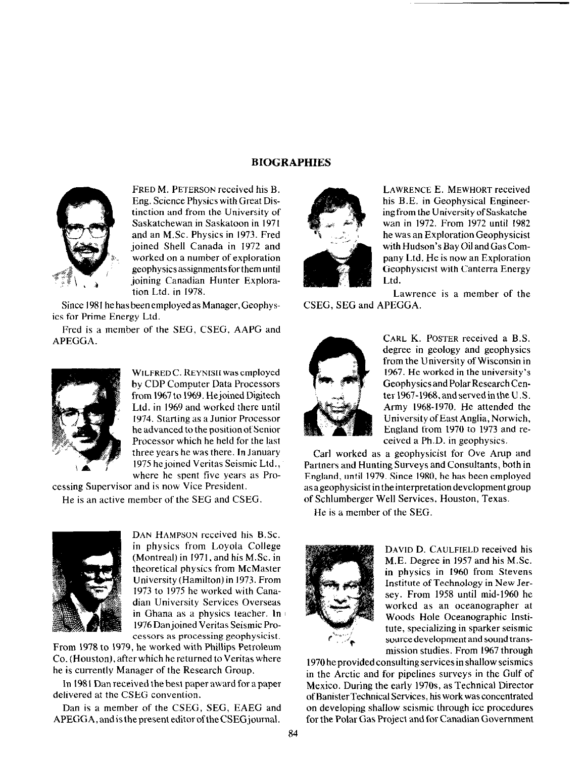## BIOGRAPHIES



FRED M. PETERSON received his B. Eng. Science Physics with Great Distinction and from the University of Saskatchewan in Saskatoon in 1971 and an M.Sc. Physics in 1973. Fred joined Shell Canada in 1972 and worked on a number of exploration geophysicsassignmentsforthemuntil joining Canadian Hunter Exploration Ltd. in 1978.

Since 1981 he has been employed as Manager, Geophysics for Prime Energy Ltd.

Fred is a member of the SEG, CSEG, AAPG and APEGGA.



WILFRED C. REYNISH was employed by CDP Computer Data Processors from 1967 to 1969. Hejoined Digitech Ltd. in 1969 and worked there until 1974. Starting as a Junior Processor he advanced to the position of Senior Processor which he held for the last three years he was there. In January 1975 he joined Veritas Seismic Ltd., where he spent five years as Pro-

cessing Supervisor and is now Vice President. He is an active member of the SEG and CSEG.



DAN HAMPSON received his B.Sc. in physics from Loyola College (Montreal) in 1971, and his M.Sc. in theoretical physics from McMaster University (Hamilton) in 1973. From 1973 to 1975 he worked with Canadian University Services Overseas in Ghana as a physics teacher. In 1976 Danjoined Veritas Seismic Processors as processing geophysicist.

From 1978 to 1979, he worked with Phillips Petroleum Co. (Houston), after which he returned to Veritas where he is currently Manager of the Research Group.

In 1981 Dan received the best paper award for a paper delivered at the CSEG convention.

Dan is a member of the CSEG, SEG, EAEG and APEGGA, and is the present editor of the CSEG journal.



LAWRENCE E. MEWHORT received his B.E. in Geophysical Engineeringfrom the UniversityofSaskatchewan in 1972. From 1972 until 1982 he was an Exploration Geophysicist with Hudson's Bay Oil and Gas Company Ltd. He is now an Exploration Geophysicist with Canterra Energy Ltd.

Lawrence is a member of the CSEG, SEG and APEGGA.



CARL K. POSTER received a B.S. degree in geology and geophysics from the University of Wisconsin in 1967. He worked in the university's Geophysics and Polar Research Center 1967-1968, and served in the U.S. Army 1968-1970. He attended the UniversityofEastAnglia,Norwich, England from 1970 to 1973 and received a Ph.D. in geophysics.

Carl worked as a geophysicist for Ove Arup and Partners and Hunting Surveys and Consultants, both in England, until 1979. Since 1980, he has been employed asageophysicistintheinterpretationdevelopmentgroup of Schlumberger Well Services, Houston, Texas.

He is a member of the SEG.



DAVID D. CAULFIELD received his M.E. Degree in 1957 and his M.Sc. in physics in 1960 from Stevens Institute of Technology in New Jersey. From 1958 until mid-1960 he worked as an oceanographer at Woods Hole Oceanographic Institute, specializing in sparker seismic source development and sound transmission studies. From 1967 through

1970 he provided consulting services in shallow seismics in the Arctic and for pipelines surveys in the Gulf of Mexico. During the early 197Os, as Technical Director ofBanisterTechnical Services, his workwasconcentrated on developing shallow seismic through ice procedures for the Polar Gas Project and for Canadian Government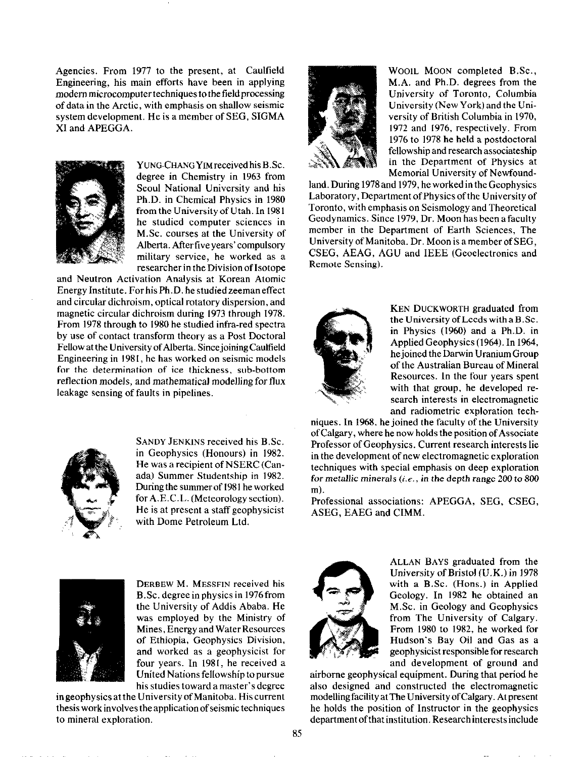Agencies. From 1977 to the present, at Caulfield Engineering, his main efforts have been in applying modern microcomputer techniques to the field processing of data in the Arctic, with emphasis on shallow seismic system development. He is a member of SEG, SIGMA XI and APEGGA.



YUNG-CHANGYIM received his B.Sc. degree in Chemistry in 1963 from Seoul National University and his Ph.D. in Chemical Physics in 1980 from the University of Utah. In 1981 he studied computer sciences in M.Sc. courses at the University of Alberta. After five years' compulsory military service, he worked as a researcher in the Division of Isotope

and Neutron Activation Analysis at Korean Atomic Energy Institute. For his Ph.D. he studied zeeman effect and circular dichroism, optical rotatory dispersion, and magnetic circular dichroism during 1973 through 1978. From 1978 through to 1980 he studied infra-red spectra by use of contact transform theory as a Post Doctoral Fellow at the University of Alberta. Since joining Caulfield Engineering in 1981, he has worked on seismic models for the determination of ice thickness, sub-bottom reflection models, and mathematical modelling for flux leakage sensing of faults in pipelines.



SANDY JENKINS received his B.Sc. in Geophysics (Honours) in 1982. He was a recipient of NSERC (Canada) Summer Studentship in 1982. During the summer of 1981 he worked for A.E.C.L. (Meteorology section). He is at present a staff geophysicist with Dome Petroleum Ltd.



WOOIL MOON completed B.Sc., M.A. and Ph.D. degrees from the University of Toronto, Columbia University (New York) and the University of British Columbia in 1970, 1972 and 1976, respectively. From 1976 to 1978 he held a postdoctoral fellowship and research associateship in the Department of Physics at Memorial University of Newfound-

land. During 1978 and 1979, he worked in the Geophysics Laboratory, Department of Physics of the University of Toronto, with emphasis on Seismology and Theoretical Geodynamics. Since 1979, Dr. Moon has been a faculty member in the Department of Earth Sciences, The University of Manitoba. Dr. Moon is a member of SEG, CSEG, AEAG, AGU and IEEE (Geoelectronics and Remote Sensing).



KEN DUCKWORTH graduated from the University of Leeds with a B.Sc. in Physics (1960) and a Ph.D. in Applied Geophysics(1964). In 1964, he joined the Darwin Uranium Group of the Australian Bureau of Mineral Resources. In the four years spent with that group, he developed research interests in electromagnetic and radiometric exploration tech-

niques. In 1968, he joined the faculty of the University of Calgary, where he now holds the position of Associate Professor of Geophysics. Current research interests lie in the development of new electromagnetic exploration techniques with special emphasis on deep exploration for metallic minerals  $(i.e., in the depth range 200 to 800$ m).

Professional associations: APEGGA, SEG, CSEG, ASEG, EAEG and CIMM.



DERBEW M. MESSFIN received his B.Sc. degree in physics in 1976from the University of Addis Ababa. He was employed by the Ministry of Mines, Energy and Water Resources of Ethiopia, Geophysics Division, and worked as a geophysicist for four years. In 1981, he received a United Nations fellowship to pursue his studies towardamaster's degree

ingeophysicsattheUniversityofManitoba. Hiscurrent thesis work involves the application of seismic techniques to mineral exploration.



ALLAN BAYS graduated from the University of Bristol (U.K.) in 1978 with a B.Sc. (Hons.) in Applied Geology. In 1982 he obtained an M.Sc. in Geology and Geophysics from The University of Calgary. From 1980 to 1982, he worked for Hudson's Bay Oil and Gas as a geophysicist responsible for research and development of ground and

airborne geophysical equipment. During that period he also designed and constructed the electromagnetic modelling facility at The University of Calgary. At present he holds the position of Instructor in the geophysics department of that institution. Research interests include